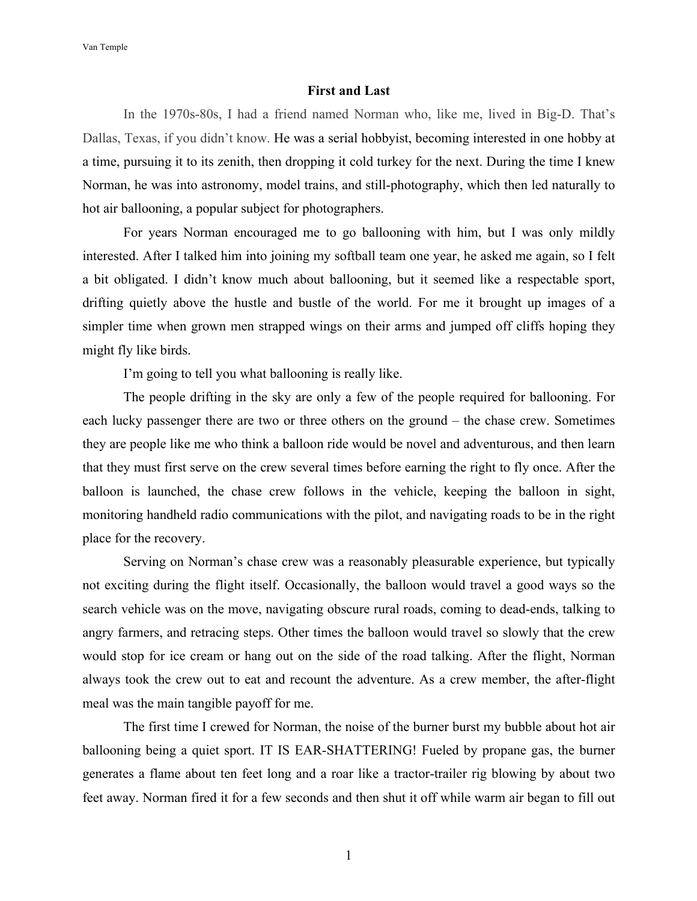Van Temple

## **First and Last**

In the 1970s-80s, I had a friend named Norman who, like me, lived in Big-D. That's Dallas, Texas, if you didn't know. He was a serial hobbyist, becoming interested in one hobby at a time, pursuing it to its zenith, then dropping it cold turkey for the next. During the time I knew Norman, he was into astronomy, model trains, and still-photography, which then led naturally to hot air ballooning, a popular subject for photographers.

For years Norman encouraged me to go ballooning with him, but I was only mildly interested. After I talked him into joining my softball team one year, he asked me again, so I felt a bit obligated. I didn't know much about ballooning, but it seemed like a respectable sport, drifting quietly above the hustle and bustle of the world. For me it brought up images of a simpler time when grown men strapped wings on their arms and jumped off cliffs hoping they might fly like birds.

I'm going to tell you what ballooning is really like.

The people drifting in the sky are only a few of the people required for ballooning. For each lucky passenger there are two or three others on the ground – the chase crew. Sometimes they are people like me who think a balloon ride would be novel and adventurous, and then learn that they must first serve on the crew several times before earning the right to fly once. After the balloon is launched, the chase crew follows in the vehicle, keeping the balloon in sight, monitoring handheld radio communications with the pilot, and navigating roads to be in the right place for the recovery.

Serving on Norman's chase crew was a reasonably pleasurable experience, but typically not exciting during the flight itself. Occasionally, the balloon would travel a good ways so the search vehicle was on the move, navigating obscure rural roads, coming to dead-ends, talking to angry farmers, and retracing steps. Other times the balloon would travel so slowly that the crew would stop for ice cream or hang out on the side of the road talking. After the flight, Norman always took the crew out to eat and recount the adventure. As a crew member, the after-flight meal was the main tangible payoff for me.

The first time I crewed for Norman, the noise of the burner burst my bubble about hot air ballooning being a quiet sport. IT IS EAR-SHATTERING! Fueled by propane gas, the burner generates a flame about ten feet long and a roar like a tractor-trailer rig blowing by about two feet away. Norman fired it for a few seconds and then shut it off while warm air began to fill out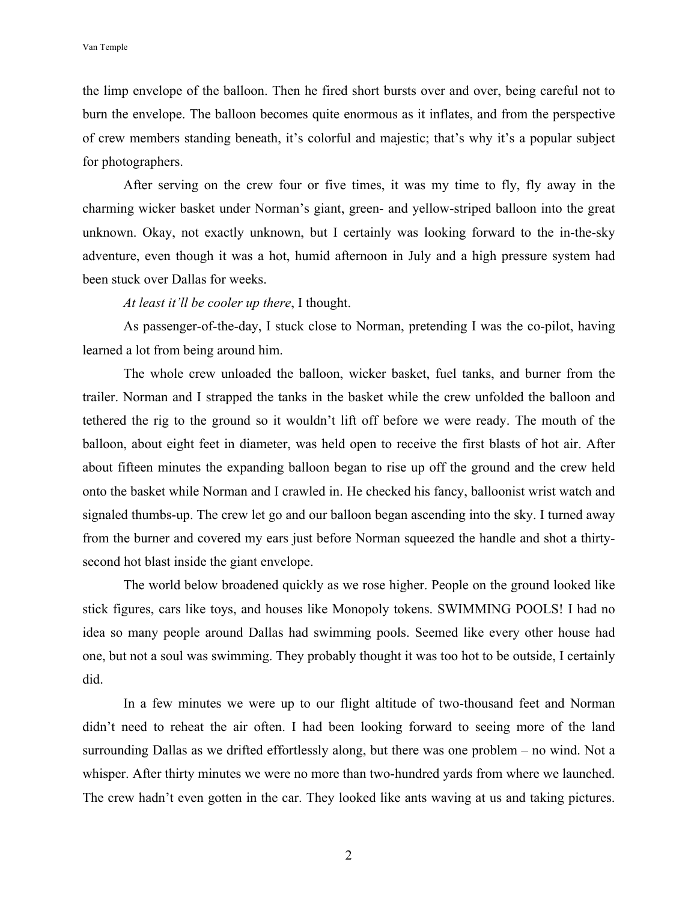Van Temple

the limp envelope of the balloon. Then he fired short bursts over and over, being careful not to burn the envelope. The balloon becomes quite enormous as it inflates, and from the perspective of crew members standing beneath, it's colorful and majestic; that's why it's a popular subject for photographers.

After serving on the crew four or five times, it was my time to fly, fly away in the charming wicker basket under Norman's giant, green- and yellow-striped balloon into the great unknown. Okay, not exactly unknown, but I certainly was looking forward to the in-the-sky adventure, even though it was a hot, humid afternoon in July and a high pressure system had been stuck over Dallas for weeks.

*At least it'll be cooler up there*, I thought.

As passenger-of-the-day, I stuck close to Norman, pretending I was the co-pilot, having learned a lot from being around him.

The whole crew unloaded the balloon, wicker basket, fuel tanks, and burner from the trailer. Norman and I strapped the tanks in the basket while the crew unfolded the balloon and tethered the rig to the ground so it wouldn't lift off before we were ready. The mouth of the balloon, about eight feet in diameter, was held open to receive the first blasts of hot air. After about fifteen minutes the expanding balloon began to rise up off the ground and the crew held onto the basket while Norman and I crawled in. He checked his fancy, balloonist wrist watch and signaled thumbs-up. The crew let go and our balloon began ascending into the sky. I turned away from the burner and covered my ears just before Norman squeezed the handle and shot a thirtysecond hot blast inside the giant envelope.

The world below broadened quickly as we rose higher. People on the ground looked like stick figures, cars like toys, and houses like Monopoly tokens. SWIMMING POOLS! I had no idea so many people around Dallas had swimming pools. Seemed like every other house had one, but not a soul was swimming. They probably thought it was too hot to be outside, I certainly did.

In a few minutes we were up to our flight altitude of two-thousand feet and Norman didn't need to reheat the air often. I had been looking forward to seeing more of the land surrounding Dallas as we drifted effortlessly along, but there was one problem – no wind. Not a whisper. After thirty minutes we were no more than two-hundred yards from where we launched. The crew hadn't even gotten in the car. They looked like ants waving at us and taking pictures.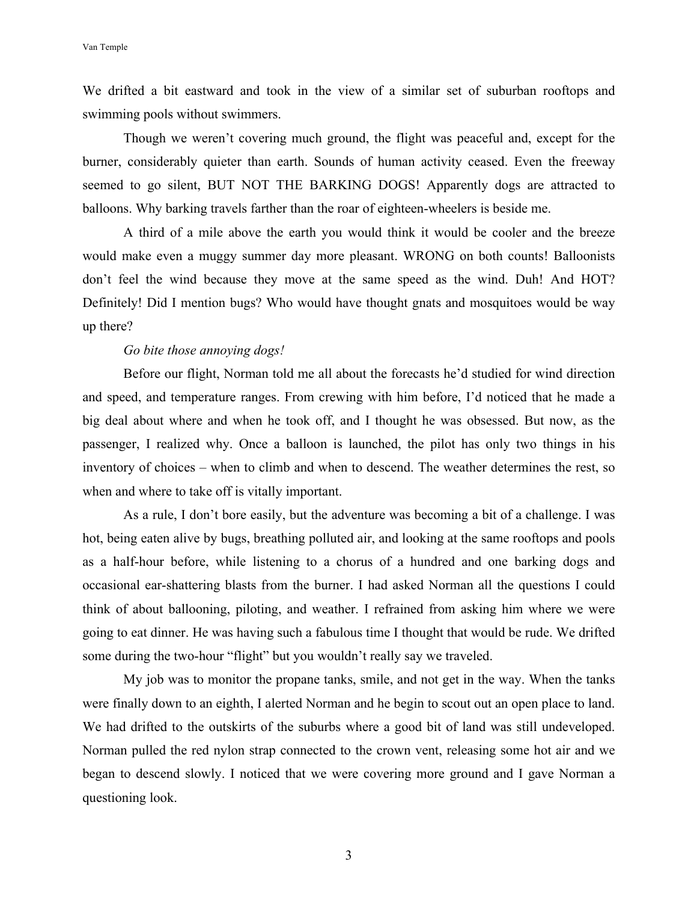We drifted a bit eastward and took in the view of a similar set of suburban rooftops and swimming pools without swimmers.

Though we weren't covering much ground, the flight was peaceful and, except for the burner, considerably quieter than earth. Sounds of human activity ceased. Even the freeway seemed to go silent, BUT NOT THE BARKING DOGS! Apparently dogs are attracted to balloons. Why barking travels farther than the roar of eighteen-wheelers is beside me.

A third of a mile above the earth you would think it would be cooler and the breeze would make even a muggy summer day more pleasant. WRONG on both counts! Balloonists don't feel the wind because they move at the same speed as the wind. Duh! And HOT? Definitely! Did I mention bugs? Who would have thought gnats and mosquitoes would be way up there?

## *Go bite those annoying dogs!*

Before our flight, Norman told me all about the forecasts he'd studied for wind direction and speed, and temperature ranges. From crewing with him before, I'd noticed that he made a big deal about where and when he took off, and I thought he was obsessed. But now, as the passenger, I realized why. Once a balloon is launched, the pilot has only two things in his inventory of choices – when to climb and when to descend. The weather determines the rest, so when and where to take off is vitally important.

As a rule, I don't bore easily, but the adventure was becoming a bit of a challenge. I was hot, being eaten alive by bugs, breathing polluted air, and looking at the same rooftops and pools as a half-hour before, while listening to a chorus of a hundred and one barking dogs and occasional ear-shattering blasts from the burner. I had asked Norman all the questions I could think of about ballooning, piloting, and weather. I refrained from asking him where we were going to eat dinner. He was having such a fabulous time I thought that would be rude. We drifted some during the two-hour "flight" but you wouldn't really say we traveled.

My job was to monitor the propane tanks, smile, and not get in the way. When the tanks were finally down to an eighth, I alerted Norman and he begin to scout out an open place to land. We had drifted to the outskirts of the suburbs where a good bit of land was still undeveloped. Norman pulled the red nylon strap connected to the crown vent, releasing some hot air and we began to descend slowly. I noticed that we were covering more ground and I gave Norman a questioning look.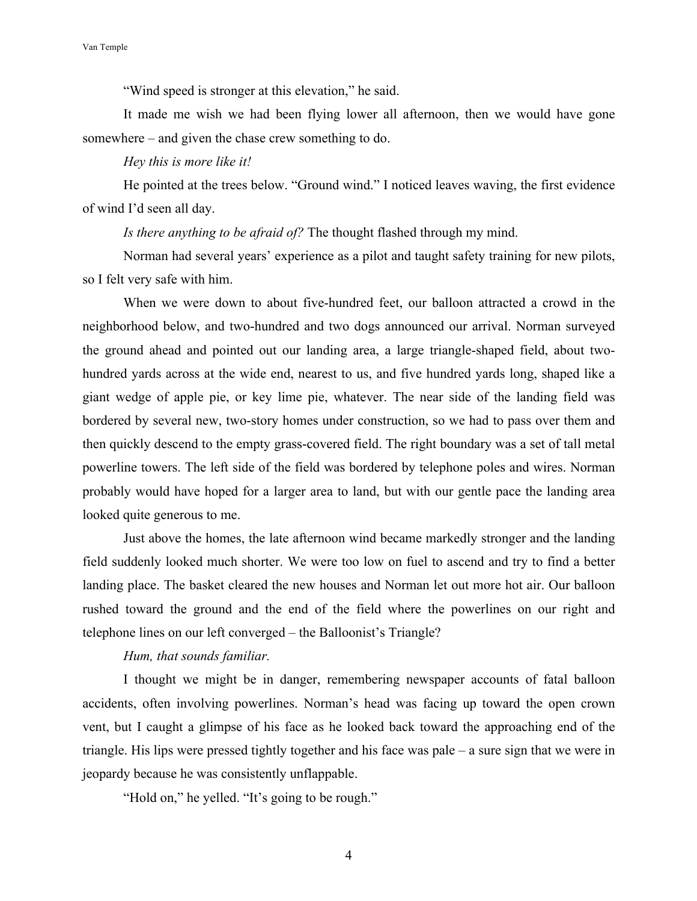"Wind speed is stronger at this elevation," he said.

It made me wish we had been flying lower all afternoon, then we would have gone somewhere – and given the chase crew something to do.

## *Hey this is more like it!*

He pointed at the trees below. "Ground wind." I noticed leaves waving, the first evidence of wind I'd seen all day.

*Is there anything to be afraid of?* The thought flashed through my mind.

Norman had several years' experience as a pilot and taught safety training for new pilots, so I felt very safe with him.

When we were down to about five-hundred feet, our balloon attracted a crowd in the neighborhood below, and two-hundred and two dogs announced our arrival. Norman surveyed the ground ahead and pointed out our landing area, a large triangle-shaped field, about twohundred yards across at the wide end, nearest to us, and five hundred yards long, shaped like a giant wedge of apple pie, or key lime pie, whatever. The near side of the landing field was bordered by several new, two-story homes under construction, so we had to pass over them and then quickly descend to the empty grass-covered field. The right boundary was a set of tall metal powerline towers. The left side of the field was bordered by telephone poles and wires. Norman probably would have hoped for a larger area to land, but with our gentle pace the landing area looked quite generous to me.

Just above the homes, the late afternoon wind became markedly stronger and the landing field suddenly looked much shorter. We were too low on fuel to ascend and try to find a better landing place. The basket cleared the new houses and Norman let out more hot air. Our balloon rushed toward the ground and the end of the field where the powerlines on our right and telephone lines on our left converged – the Balloonist's Triangle?

## *Hum, that sounds familiar.*

I thought we might be in danger, remembering newspaper accounts of fatal balloon accidents, often involving powerlines. Norman's head was facing up toward the open crown vent, but I caught a glimpse of his face as he looked back toward the approaching end of the triangle. His lips were pressed tightly together and his face was pale – a sure sign that we were in jeopardy because he was consistently unflappable.

"Hold on," he yelled. "It's going to be rough."